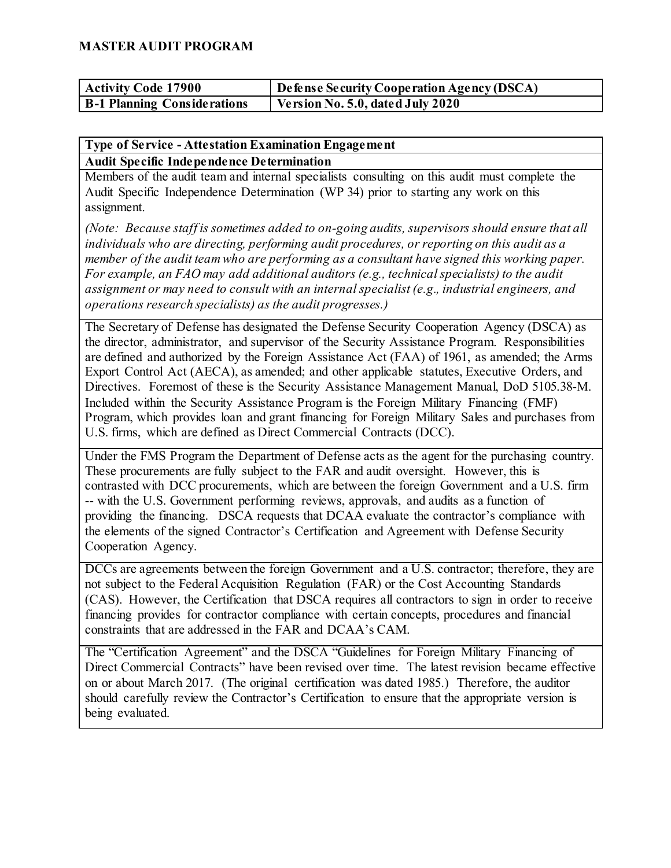| <b>Activity Code 17900</b>         | $\Box$ Defense Security Cooperation Agency (DSCA) |
|------------------------------------|---------------------------------------------------|
| <b>B-1 Planning Considerations</b> | Version No. 5.0, dated July 2020                  |

#### **Type of Service - Attestation Examination Engagement**

#### **Audit Specific Independence Determination**

Members of the audit team and internal specialists consulting on this audit must complete the Audit Specific Independence Determination (WP 34) prior to starting any work on this assignment.

*(Note: Because staff is sometimes added to on-going audits, supervisors should ensure that all individuals who are directing, performing audit procedures, or reporting on this audit as a member of the audit team who are performing as a consultant have signed this working paper. For example, an FAO may add additional auditors (e.g., technical specialists) to the audit assignment or may need to consult with an internal specialist (e.g., industrial engineers, and operations research specialists) as the audit progresses.)*

The Secretary of Defense has designated the Defense Security Cooperation Agency (DSCA) as the director, administrator, and supervisor of the Security Assistance Program. Responsibilities are defined and authorized by the Foreign Assistance Act (FAA) of 1961, as amended; the Arms Export Control Act (AECA), as amended; and other applicable statutes, Executive Orders, and Directives. Foremost of these is the Security Assistance Management Manual, DoD 5105.38-M. Included within the Security Assistance Program is the Foreign Military Financing (FMF) Program, which provides loan and grant financing for Foreign Military Sales and purchases from U.S. firms, which are defined as Direct Commercial Contracts (DCC).

Under the FMS Program the Department of Defense acts as the agent for the purchasing country. These procurements are fully subject to the FAR and audit oversight. However, this is contrasted with DCC procurements, which are between the foreign Government and a U.S. firm -- with the U.S. Government performing reviews, approvals, and audits as a function of providing the financing. DSCA requests that DCAA evaluate the contractor's compliance with the elements of the signed Contractor's Certification and Agreement with Defense Security Cooperation Agency.

DCCs are agreements between the foreign Government and a U.S. contractor; therefore, they are not subject to the Federal Acquisition Regulation (FAR) or the Cost Accounting Standards (CAS). However, the Certification that DSCA requires all contractors to sign in order to receive financing provides for contractor compliance with certain concepts, procedures and financial constraints that are addressed in the FAR and DCAA's CAM.

The "Certification Agreement" and the DSCA "Guidelines for Foreign Military Financing of Direct Commercial Contracts" have been revised over time. The latest revision became effective on or about March 2017. (The original certification was dated 1985.) Therefore, the auditor should carefully review the Contractor's Certification to ensure that the appropriate version is being evaluated.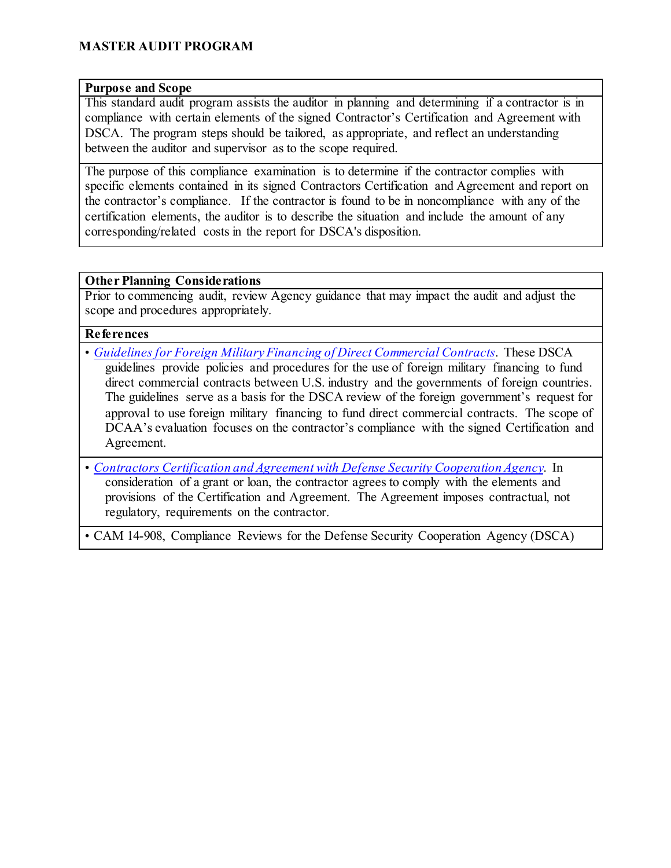#### **Purpose and Scope**

This standard audit program assists the auditor in planning and determining if a contractor is in compliance with certain elements of the signed Contractor's Certification and Agreement with DSCA. The program steps should be tailored, as appropriate, and reflect an understanding between the auditor and supervisor as to the scope required.

The purpose of this compliance examination is to determine if the contractor complies with specific elements contained in its signed Contractors Certification and Agreement and report on the contractor's compliance. If the contractor is found to be in noncompliance with any of the certification elements, the auditor is to describe the situation and include the amount of any corresponding/related costs in the report for DSCA's disposition.

#### **Other Planning Considerations**

Prior to commencing audit, review Agency guidance that may impact the audit and adjust the scope and procedures appropriately.

#### **References**

- *[Guidelines for Foreign Military Financing of Direct Commercial Contracts](https://www.dsca.mil/sites/default/files/dsca_guidelines_for_foreign_military_financing_of_direct_commercial_contracts.pdf)*. These DSCA guidelines provide policies and procedures for the use of foreign military financing to fund direct commercial contracts between U.S. industry and the governments of foreign countries. The guidelines serve as a basis for the DSCA review of the foreign government's request for approval to use foreign military financing to fund direct commercial contracts. The scope of DCAA's evaluation focuses on the contractor's compliance with the signed Certification and Agreement.
- *[Contractors Certification and Agreement with Defense Security Cooperation Agency](https://www.dsca.mil/sites/default/files/contractor_certification_and_agreement_with_dsca.pdf)*. In consideration of a grant or loan, the contractor agrees to comply with the elements and provisions of the Certification and Agreement. The Agreement imposes contractual, not regulatory, requirements on the contractor.

• CAM 14-908, Compliance Reviews for the Defense Security Cooperation Agency (DSCA)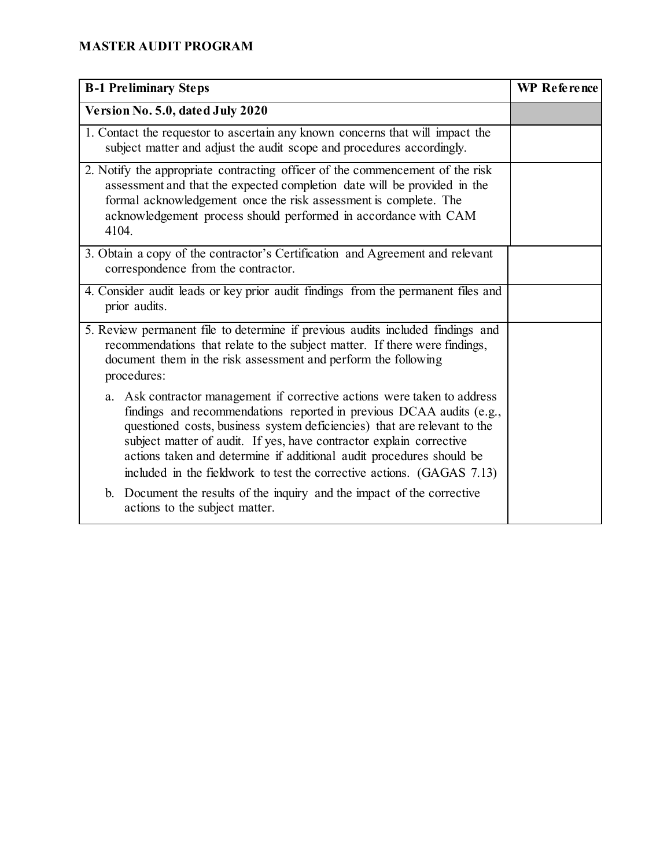| <b>B-1 Preliminary Steps</b>                                                                                                                                                                                                                                                                                                                                                                                                                          | WP Reference |
|-------------------------------------------------------------------------------------------------------------------------------------------------------------------------------------------------------------------------------------------------------------------------------------------------------------------------------------------------------------------------------------------------------------------------------------------------------|--------------|
| Version No. 5.0, dated July 2020                                                                                                                                                                                                                                                                                                                                                                                                                      |              |
| 1. Contact the requestor to ascertain any known concerns that will impact the<br>subject matter and adjust the audit scope and procedures accordingly.                                                                                                                                                                                                                                                                                                |              |
| 2. Notify the appropriate contracting officer of the commencement of the risk<br>assessment and that the expected completion date will be provided in the<br>formal acknowledgement once the risk assessment is complete. The<br>acknowledgement process should performed in accordance with CAM<br>4104.                                                                                                                                             |              |
| 3. Obtain a copy of the contractor's Certification and Agreement and relevant<br>correspondence from the contractor.                                                                                                                                                                                                                                                                                                                                  |              |
| 4. Consider audit leads or key prior audit findings from the permanent files and<br>prior audits.                                                                                                                                                                                                                                                                                                                                                     |              |
| 5. Review permanent file to determine if previous audits included findings and<br>recommendations that relate to the subject matter. If there were findings,<br>document them in the risk assessment and perform the following<br>procedures:                                                                                                                                                                                                         |              |
| a. Ask contractor management if corrective actions were taken to address<br>findings and recommendations reported in previous DCAA audits (e.g.,<br>questioned costs, business system deficiencies) that are relevant to the<br>subject matter of audit. If yes, have contractor explain corrective<br>actions taken and determine if additional audit procedures should be<br>included in the fieldwork to test the corrective actions. (GAGAS 7.13) |              |
| b. Document the results of the inquiry and the impact of the corrective<br>actions to the subject matter.                                                                                                                                                                                                                                                                                                                                             |              |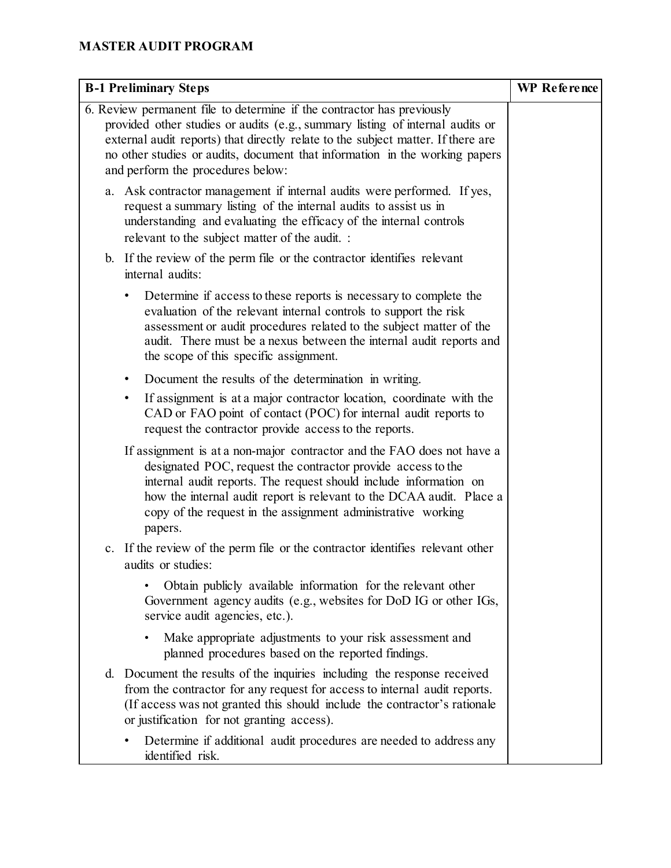| <b>B-1 Preliminary Steps</b>                                                                                                                                                                                                                                                                                                                                    | WP Reference |
|-----------------------------------------------------------------------------------------------------------------------------------------------------------------------------------------------------------------------------------------------------------------------------------------------------------------------------------------------------------------|--------------|
| 6. Review permanent file to determine if the contractor has previously<br>provided other studies or audits (e.g., summary listing of internal audits or<br>external audit reports) that directly relate to the subject matter. If there are<br>no other studies or audits, document that information in the working papers<br>and perform the procedures below: |              |
| a. Ask contractor management if internal audits were performed. If yes,<br>request a summary listing of the internal audits to assist us in<br>understanding and evaluating the efficacy of the internal controls<br>relevant to the subject matter of the audit. :                                                                                             |              |
| b. If the review of the perm file or the contractor identifies relevant<br>internal audits:                                                                                                                                                                                                                                                                     |              |
| Determine if access to these reports is necessary to complete the<br>٠<br>evaluation of the relevant internal controls to support the risk<br>assessment or audit procedures related to the subject matter of the<br>audit. There must be a nexus between the internal audit reports and<br>the scope of this specific assignment.                              |              |
| Document the results of the determination in writing.<br>$\bullet$                                                                                                                                                                                                                                                                                              |              |
| If assignment is at a major contractor location, coordinate with the<br>٠<br>CAD or FAO point of contact (POC) for internal audit reports to<br>request the contractor provide access to the reports.                                                                                                                                                           |              |
| If assignment is at a non-major contractor and the FAO does not have a<br>designated POC, request the contractor provide access to the<br>internal audit reports. The request should include information on<br>how the internal audit report is relevant to the DCAA audit. Place a<br>copy of the request in the assignment administrative working<br>papers.  |              |
| c. If the review of the perm file or the contractor identifies relevant other<br>audits or studies:                                                                                                                                                                                                                                                             |              |
| Obtain publicly available information for the relevant other<br>Government agency audits (e.g., websites for DoD IG or other IGs,<br>service audit agencies, etc.).                                                                                                                                                                                             |              |
| Make appropriate adjustments to your risk assessment and<br>planned procedures based on the reported findings.                                                                                                                                                                                                                                                  |              |
| d. Document the results of the inquiries including the response received<br>from the contractor for any request for access to internal audit reports.<br>(If access was not granted this should include the contractor's rationale<br>or justification for not granting access).                                                                                |              |
| Determine if additional audit procedures are needed to address any<br>identified risk.                                                                                                                                                                                                                                                                          |              |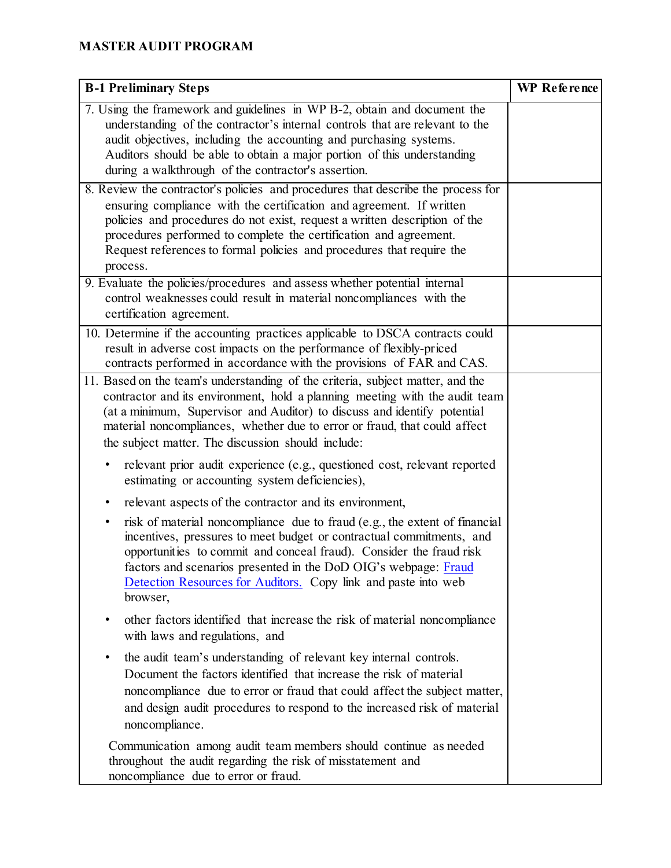| <b>B-1 Preliminary Steps</b>                                                                                                                                                                                                                                                                                                                                                                     | WP Reference |
|--------------------------------------------------------------------------------------------------------------------------------------------------------------------------------------------------------------------------------------------------------------------------------------------------------------------------------------------------------------------------------------------------|--------------|
| 7. Using the framework and guidelines in WP B-2, obtain and document the<br>understanding of the contractor's internal controls that are relevant to the<br>audit objectives, including the accounting and purchasing systems.<br>Auditors should be able to obtain a major portion of this understanding<br>during a walkthrough of the contractor's assertion.                                 |              |
| 8. Review the contractor's policies and procedures that describe the process for<br>ensuring compliance with the certification and agreement. If written<br>policies and procedures do not exist, request a written description of the<br>procedures performed to complete the certification and agreement.<br>Request references to formal policies and procedures that require the<br>process. |              |
| 9. Evaluate the policies/procedures and assess whether potential internal<br>control weaknesses could result in material noncompliances with the<br>certification agreement.                                                                                                                                                                                                                     |              |
| 10. Determine if the accounting practices applicable to DSCA contracts could<br>result in adverse cost impacts on the performance of flexibly-priced<br>contracts performed in accordance with the provisions of FAR and CAS.                                                                                                                                                                    |              |
| 11. Based on the team's understanding of the criteria, subject matter, and the<br>contractor and its environment, hold a planning meeting with the audit team<br>(at a minimum, Supervisor and Auditor) to discuss and identify potential<br>material noncompliances, whether due to error or fraud, that could affect<br>the subject matter. The discussion should include:                     |              |
| relevant prior audit experience (e.g., questioned cost, relevant reported<br>٠<br>estimating or accounting system deficiencies),                                                                                                                                                                                                                                                                 |              |
| relevant aspects of the contractor and its environment,<br>٠                                                                                                                                                                                                                                                                                                                                     |              |
| risk of material noncompliance due to fraud (e.g., the extent of financial<br>٠<br>incentives, pressures to meet budget or contractual commitments, and<br>opportunities to commit and conceal fraud). Consider the fraud risk<br>factors and scenarios presented in the DoD OIG's webpage: Fraud<br>Detection Resources for Auditors. Copy link and paste into web<br>browser,                  |              |
| other factors identified that increase the risk of material noncompliance<br>٠<br>with laws and regulations, and                                                                                                                                                                                                                                                                                 |              |
| the audit team's understanding of relevant key internal controls.<br>٠<br>Document the factors identified that increase the risk of material<br>noncompliance due to error or fraud that could affect the subject matter,<br>and design audit procedures to respond to the increased risk of material<br>noncompliance.                                                                          |              |
| Communication among audit team members should continue as needed<br>throughout the audit regarding the risk of misstatement and<br>noncompliance due to error or fraud.                                                                                                                                                                                                                          |              |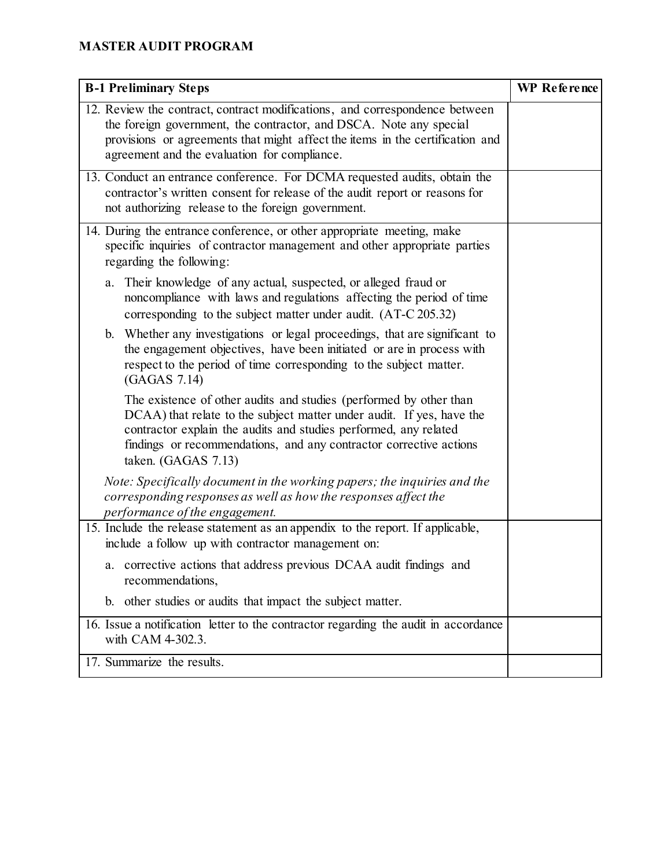| <b>B-1 Preliminary Steps</b>                                                                                                                                                                                                                                                                                 | <b>WP</b> Reference |
|--------------------------------------------------------------------------------------------------------------------------------------------------------------------------------------------------------------------------------------------------------------------------------------------------------------|---------------------|
| 12. Review the contract, contract modifications, and correspondence between<br>the foreign government, the contractor, and DSCA. Note any special<br>provisions or agreements that might affect the items in the certification and<br>agreement and the evaluation for compliance.                           |                     |
| 13. Conduct an entrance conference. For DCMA requested audits, obtain the<br>contractor's written consent for release of the audit report or reasons for<br>not authorizing release to the foreign government.                                                                                               |                     |
| 14. During the entrance conference, or other appropriate meeting, make<br>specific inquiries of contractor management and other appropriate parties<br>regarding the following:                                                                                                                              |                     |
| Their knowledge of any actual, suspected, or alleged fraud or<br>a.<br>noncompliance with laws and regulations affecting the period of time<br>corresponding to the subject matter under audit. (AT-C 205.32)                                                                                                |                     |
| Whether any investigations or legal proceedings, that are significant to<br>$\mathbf{b}$ .<br>the engagement objectives, have been initiated or are in process with<br>respect to the period of time corresponding to the subject matter.<br>(GAGAS 7.14)                                                    |                     |
| The existence of other audits and studies (performed by other than<br>DCAA) that relate to the subject matter under audit. If yes, have the<br>contractor explain the audits and studies performed, any related<br>findings or recommendations, and any contractor corrective actions<br>taken. (GAGAS 7.13) |                     |
| Note: Specifically document in the working papers; the inquiries and the<br>corresponding responses as well as how the responses affect the<br>performance of the engagement.                                                                                                                                |                     |
| 15. Include the release statement as an appendix to the report. If applicable,<br>include a follow up with contractor management on:                                                                                                                                                                         |                     |
| a. corrective actions that address previous DCAA audit findings and<br>recommendations,                                                                                                                                                                                                                      |                     |
| b. other studies or audits that impact the subject matter.                                                                                                                                                                                                                                                   |                     |
| 16. Issue a notification letter to the contractor regarding the audit in accordance<br>with CAM 4-302.3.                                                                                                                                                                                                     |                     |
| 17. Summarize the results.                                                                                                                                                                                                                                                                                   |                     |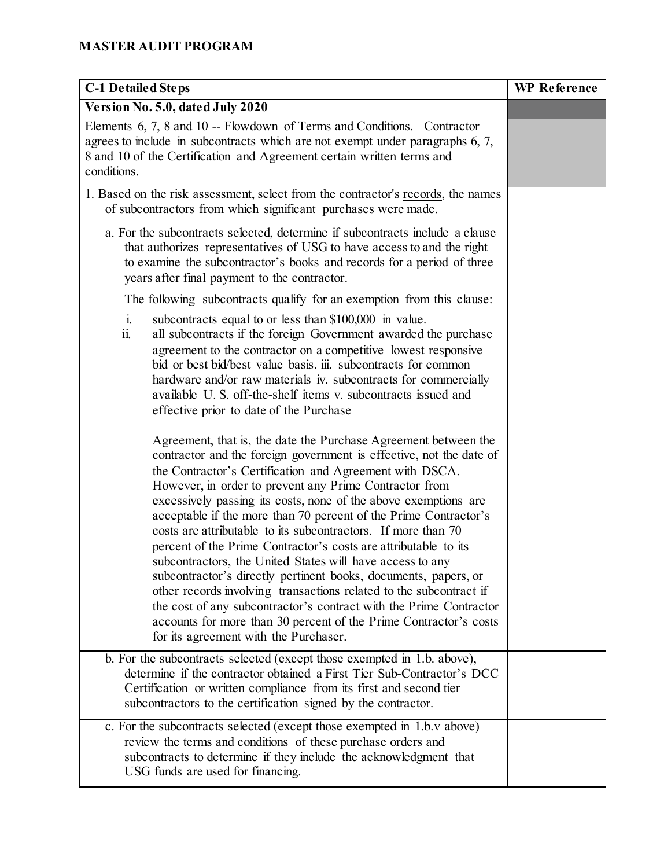| <b>C-1 Detailed Steps</b>                                                                                                                                                                                                                                                                                                                                                                                                                                                                                                                                                                                                                                                                                                                                                                                                                                                                                                        | <b>WP</b> Reference |
|----------------------------------------------------------------------------------------------------------------------------------------------------------------------------------------------------------------------------------------------------------------------------------------------------------------------------------------------------------------------------------------------------------------------------------------------------------------------------------------------------------------------------------------------------------------------------------------------------------------------------------------------------------------------------------------------------------------------------------------------------------------------------------------------------------------------------------------------------------------------------------------------------------------------------------|---------------------|
| Version No. 5.0, dated July 2020                                                                                                                                                                                                                                                                                                                                                                                                                                                                                                                                                                                                                                                                                                                                                                                                                                                                                                 |                     |
| Elements 6, 7, 8 and 10 -- Flowdown of Terms and Conditions. Contractor<br>agrees to include in subcontracts which are not exempt under paragraphs 6, 7,<br>8 and 10 of the Certification and Agreement certain written terms and<br>conditions.                                                                                                                                                                                                                                                                                                                                                                                                                                                                                                                                                                                                                                                                                 |                     |
| 1. Based on the risk assessment, select from the contractor's records, the names<br>of subcontractors from which significant purchases were made.                                                                                                                                                                                                                                                                                                                                                                                                                                                                                                                                                                                                                                                                                                                                                                                |                     |
| a. For the subcontracts selected, determine if subcontracts include a clause<br>that authorizes representatives of USG to have access to and the right<br>to examine the subcontractor's books and records for a period of three<br>years after final payment to the contractor.                                                                                                                                                                                                                                                                                                                                                                                                                                                                                                                                                                                                                                                 |                     |
| The following subcontracts qualify for an exemption from this clause:                                                                                                                                                                                                                                                                                                                                                                                                                                                                                                                                                                                                                                                                                                                                                                                                                                                            |                     |
| $\mathbf{i}$ .<br>subcontracts equal to or less than \$100,000 in value.<br>all subcontracts if the foreign Government awarded the purchase<br>ii.<br>agreement to the contractor on a competitive lowest responsive<br>bid or best bid/best value basis. iii. subcontracts for common<br>hardware and/or raw materials iv. subcontracts for commercially<br>available U.S. off-the-shelf items v. subcontracts issued and<br>effective prior to date of the Purchase                                                                                                                                                                                                                                                                                                                                                                                                                                                            |                     |
| Agreement, that is, the date the Purchase Agreement between the<br>contractor and the foreign government is effective, not the date of<br>the Contractor's Certification and Agreement with DSCA.<br>However, in order to prevent any Prime Contractor from<br>excessively passing its costs, none of the above exemptions are<br>acceptable if the more than 70 percent of the Prime Contractor's<br>costs are attributable to its subcontractors. If more than 70<br>percent of the Prime Contractor's costs are attributable to its<br>subcontractors, the United States will have access to any<br>subcontractor's directly pertinent books, documents, papers, or<br>other records involving transactions related to the subcontract if<br>the cost of any subcontractor's contract with the Prime Contractor<br>accounts for more than 30 percent of the Prime Contractor's costs<br>for its agreement with the Purchaser. |                     |
| b. For the subcontracts selected (except those exempted in 1.b. above),<br>determine if the contractor obtained a First Tier Sub-Contractor's DCC<br>Certification or written compliance from its first and second tier<br>subcontractors to the certification signed by the contractor.                                                                                                                                                                                                                                                                                                                                                                                                                                                                                                                                                                                                                                         |                     |
| c. For the subcontracts selected (except those exempted in 1.b.v above)<br>review the terms and conditions of these purchase orders and<br>subcontracts to determine if they include the acknowledgment that<br>USG funds are used for financing.                                                                                                                                                                                                                                                                                                                                                                                                                                                                                                                                                                                                                                                                                |                     |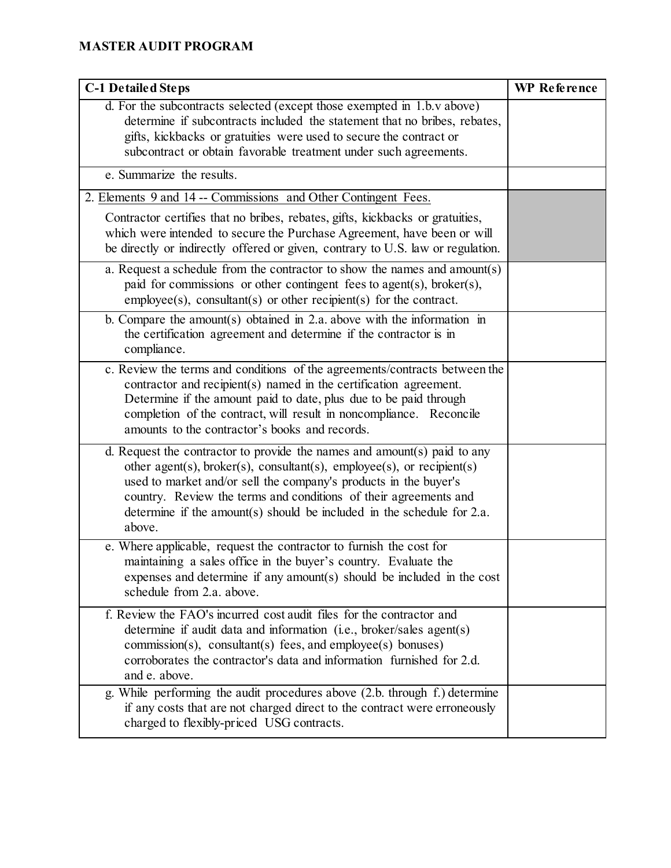| <b>C-1 Detailed Steps</b>                                                                                                                                                                                                                                                                                                                                                         | <b>WP</b> Reference |
|-----------------------------------------------------------------------------------------------------------------------------------------------------------------------------------------------------------------------------------------------------------------------------------------------------------------------------------------------------------------------------------|---------------------|
| d. For the subcontracts selected (except those exempted in 1.b.v above)<br>determine if subcontracts included the statement that no bribes, rebates,<br>gifts, kickbacks or gratuities were used to secure the contract or<br>subcontract or obtain favorable treatment under such agreements.                                                                                    |                     |
| e. Summarize the results.                                                                                                                                                                                                                                                                                                                                                         |                     |
| 2. Elements 9 and 14 -- Commissions and Other Contingent Fees.                                                                                                                                                                                                                                                                                                                    |                     |
| Contractor certifies that no bribes, rebates, gifts, kickbacks or gratuities,<br>which were intended to secure the Purchase Agreement, have been or will<br>be directly or indirectly offered or given, contrary to U.S. law or regulation.                                                                                                                                       |                     |
| a. Request a schedule from the contractor to show the names and amount(s)<br>paid for commissions or other contingent fees to agent(s), broker(s),<br>$\text{employee}(s)$ , $\text{constant}(s)$ or other recipient(s) for the contract.                                                                                                                                         |                     |
| b. Compare the amount(s) obtained in $2.a.$ above with the information in<br>the certification agreement and determine if the contractor is in<br>compliance.                                                                                                                                                                                                                     |                     |
| c. Review the terms and conditions of the agreements/contracts between the<br>contractor and recipient(s) named in the certification agreement.<br>Determine if the amount paid to date, plus due to be paid through<br>completion of the contract, will result in noncompliance. Reconcile<br>amounts to the contractor's books and records.                                     |                     |
| d. Request the contractor to provide the names and amount(s) paid to any<br>other agent(s), broker(s), consultant(s), employee(s), or recipient(s)<br>used to market and/or sell the company's products in the buyer's<br>country. Review the terms and conditions of their agreements and<br>determine if the amount(s) should be included in the schedule for $2.a$ .<br>above. |                     |
| e. Where applicable, request the contractor to furnish the cost for<br>maintaining a sales office in the buyer's country. Evaluate the<br>expenses and determine if any amount(s) should be included in the cost<br>schedule from 2.a. above.                                                                                                                                     |                     |
| f. Review the FAO's incurred cost audit files for the contractor and<br>determine if audit data and information (i.e., broker/sales agent(s)<br>$commission(s)$ , consultant(s) fees, and employee(s) bonuses)<br>corroborates the contractor's data and information furnished for 2.d.<br>and e. above.                                                                          |                     |
| g. While performing the audit procedures above (2.b. through f.) determine<br>if any costs that are not charged direct to the contract were erroneously<br>charged to flexibly-priced USG contracts.                                                                                                                                                                              |                     |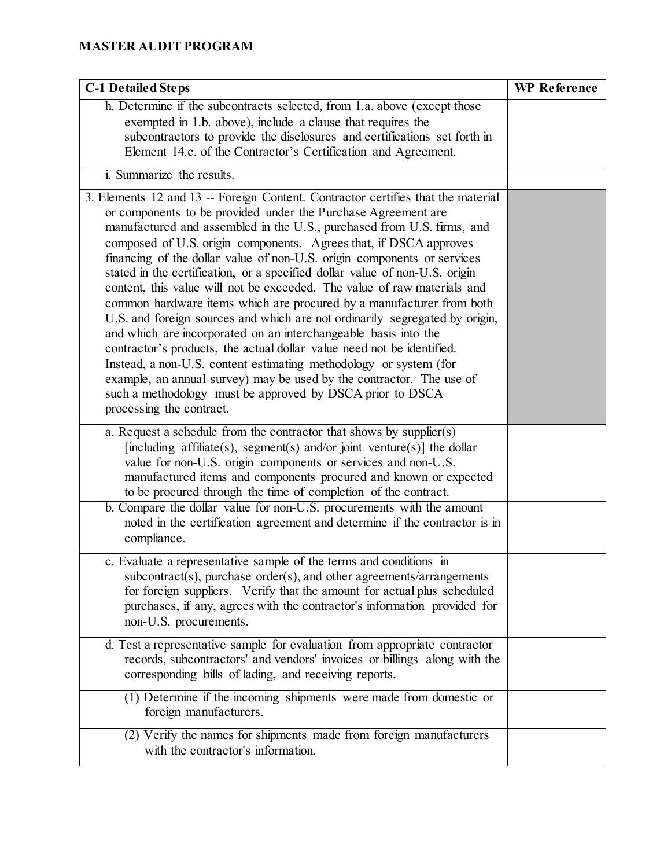| <b>C-1 Detailed Steps</b>                                                                                                                                                                                                                                                                                                                                                                                                                                                                                                                                                                                                                                                                                                                                                                                                                                                                                                                                                                                                                                                        | <b>WP</b> Reference |
|----------------------------------------------------------------------------------------------------------------------------------------------------------------------------------------------------------------------------------------------------------------------------------------------------------------------------------------------------------------------------------------------------------------------------------------------------------------------------------------------------------------------------------------------------------------------------------------------------------------------------------------------------------------------------------------------------------------------------------------------------------------------------------------------------------------------------------------------------------------------------------------------------------------------------------------------------------------------------------------------------------------------------------------------------------------------------------|---------------------|
| h. Determine if the subcontracts selected, from 1.a. above (except those<br>exempted in 1.b. above), include a clause that requires the<br>subcontractors to provide the disclosures and certifications set forth in<br>Element 14.c. of the Contractor's Certification and Agreement.                                                                                                                                                                                                                                                                                                                                                                                                                                                                                                                                                                                                                                                                                                                                                                                           |                     |
| i. Summarize the results.                                                                                                                                                                                                                                                                                                                                                                                                                                                                                                                                                                                                                                                                                                                                                                                                                                                                                                                                                                                                                                                        |                     |
| 3. Elements 12 and 13 -- Foreign Content. Contractor certifies that the material<br>or components to be provided under the Purchase Agreement are<br>manufactured and assembled in the U.S., purchased from U.S. firms, and<br>composed of U.S. origin components. Agrees that, if DSCA approves<br>financing of the dollar value of non-U.S. origin components or services<br>stated in the certification, or a specified dollar value of non-U.S. origin<br>content, this value will not be exceeded. The value of raw materials and<br>common hardware items which are procured by a manufacturer from both<br>U.S. and foreign sources and which are not ordinarily segregated by origin,<br>and which are incorporated on an interchangeable basis into the<br>contractor's products, the actual dollar value need not be identified.<br>Instead, a non-U.S. content estimating methodology or system (for<br>example, an annual survey) may be used by the contractor. The use of<br>such a methodology must be approved by DSCA prior to DSCA<br>processing the contract. |                     |
| a. Request a schedule from the contractor that shows by supplier(s)<br>[including affiliate(s), segment(s) and/or joint venture(s)] the dollar<br>value for non-U.S. origin components or services and non-U.S.<br>manufactured items and components procured and known or expected<br>to be procured through the time of completion of the contract.                                                                                                                                                                                                                                                                                                                                                                                                                                                                                                                                                                                                                                                                                                                            |                     |
| b. Compare the dollar value for non-U.S. procurements with the amount<br>noted in the certification agreement and determine if the contractor is in<br>compliance.                                                                                                                                                                                                                                                                                                                                                                                                                                                                                                                                                                                                                                                                                                                                                                                                                                                                                                               |                     |
| c. Evaluate a representative sample of the terms and conditions in<br>subcontract(s), purchase order(s), and other agreements/arrangements<br>for foreign suppliers. Verify that the amount for actual plus scheduled<br>purchases, if any, agrees with the contractor's information provided for<br>non-U.S. procurements.                                                                                                                                                                                                                                                                                                                                                                                                                                                                                                                                                                                                                                                                                                                                                      |                     |
| d. Test a representative sample for evaluation from appropriate contractor<br>records, subcontractors' and vendors' invoices or billings along with the<br>corresponding bills of lading, and receiving reports.                                                                                                                                                                                                                                                                                                                                                                                                                                                                                                                                                                                                                                                                                                                                                                                                                                                                 |                     |
| (1) Determine if the incoming shipments were made from domestic or<br>foreign manufacturers.                                                                                                                                                                                                                                                                                                                                                                                                                                                                                                                                                                                                                                                                                                                                                                                                                                                                                                                                                                                     |                     |
| (2) Verify the names for shipments made from foreign manufacturers<br>with the contractor's information.                                                                                                                                                                                                                                                                                                                                                                                                                                                                                                                                                                                                                                                                                                                                                                                                                                                                                                                                                                         |                     |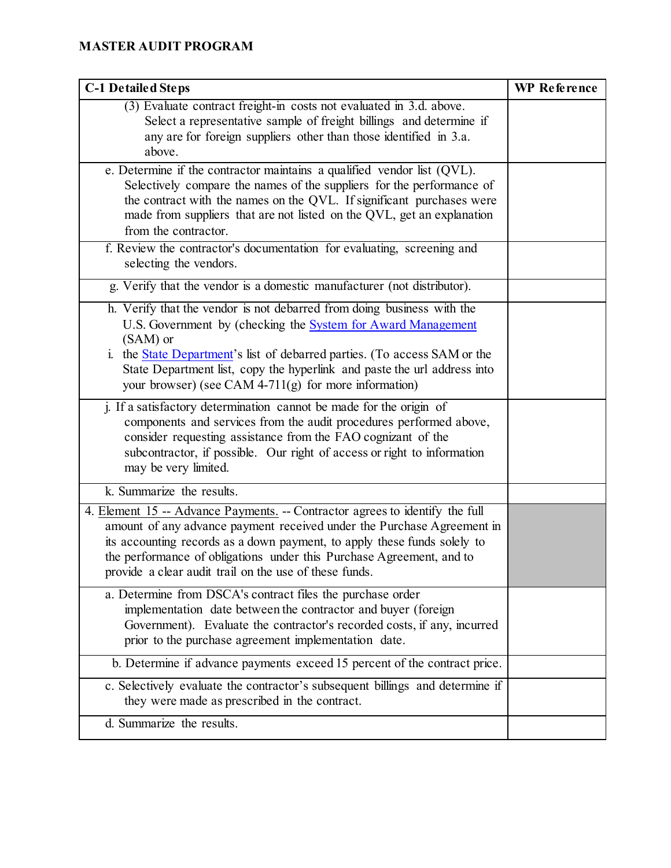| <b>C-1 Detailed Steps</b>                                                                                                                                                                                                                                                                                                                                                   | <b>WP</b> Reference |
|-----------------------------------------------------------------------------------------------------------------------------------------------------------------------------------------------------------------------------------------------------------------------------------------------------------------------------------------------------------------------------|---------------------|
| (3) Evaluate contract freight-in costs not evaluated in 3.d. above.<br>Select a representative sample of freight billings and determine if<br>any are for foreign suppliers other than those identified in 3.a.<br>above.                                                                                                                                                   |                     |
| e. Determine if the contractor maintains a qualified vendor list (QVL).<br>Selectively compare the names of the suppliers for the performance of<br>the contract with the names on the QVL. If significant purchases were<br>made from suppliers that are not listed on the QVL, get an explanation<br>from the contractor.                                                 |                     |
| f. Review the contractor's documentation for evaluating, screening and<br>selecting the vendors.                                                                                                                                                                                                                                                                            |                     |
| g. Verify that the vendor is a domestic manufacturer (not distributor).                                                                                                                                                                                                                                                                                                     |                     |
| h. Verify that the vendor is not debarred from doing business with the<br>U.S. Government by (checking the System for Award Management<br>(SAM) or<br>i. the <b>State Department's</b> list of debarred parties. (To access SAM or the<br>State Department list, copy the hyperlink and paste the url address into<br>your browser) (see CAM 4-711(g) for more information) |                     |
| j. If a satisfactory determination cannot be made for the origin of<br>components and services from the audit procedures performed above,<br>consider requesting assistance from the FAO cognizant of the<br>subcontractor, if possible. Our right of access or right to information<br>may be very limited.                                                                |                     |
| k. Summarize the results.                                                                                                                                                                                                                                                                                                                                                   |                     |
| 4. Element 15 -- Advance Payments. -- Contractor agrees to identify the full<br>amount of any advance payment received under the Purchase Agreement in<br>its accounting records as a down payment, to apply these funds solely to<br>the performance of obligations under this Purchase Agreement, and to<br>provide a clear audit trail on the use of these funds.        |                     |
| a. Determine from DSCA's contract files the purchase order<br>implementation date between the contractor and buyer (foreign<br>Government). Evaluate the contractor's recorded costs, if any, incurred<br>prior to the purchase agreement implementation date.                                                                                                              |                     |
| b. Determine if advance payments exceed 15 percent of the contract price.                                                                                                                                                                                                                                                                                                   |                     |
| c. Selectively evaluate the contractor's subsequent billings and determine if<br>they were made as prescribed in the contract.                                                                                                                                                                                                                                              |                     |
| d. Summarize the results.                                                                                                                                                                                                                                                                                                                                                   |                     |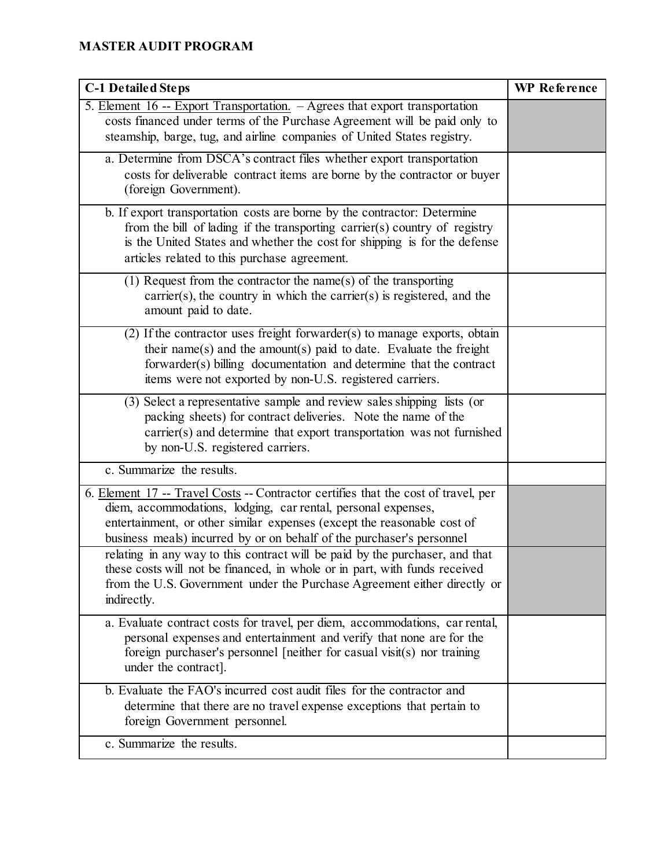| <b>C-1 Detailed Steps</b>                                                                                                                                                                                                                                                                               | <b>WP</b> Reference |
|---------------------------------------------------------------------------------------------------------------------------------------------------------------------------------------------------------------------------------------------------------------------------------------------------------|---------------------|
| 5. Element 16 -- Export Transportation. - Agrees that export transportation<br>costs financed under terms of the Purchase Agreement will be paid only to<br>steamship, barge, tug, and airline companies of United States registry.                                                                     |                     |
| a. Determine from DSCA's contract files whether export transportation<br>costs for deliverable contract items are borne by the contractor or buyer<br>(foreign Government).                                                                                                                             |                     |
| b. If export transportation costs are borne by the contractor: Determine<br>from the bill of lading if the transporting carrier(s) country of registry<br>is the United States and whether the cost for shipping is for the defense<br>articles related to this purchase agreement.                     |                     |
| $(1)$ Request from the contractor the name(s) of the transporting<br>$\text{carrier}(s)$ , the country in which the carrier $(s)$ is registered, and the<br>amount paid to date.                                                                                                                        |                     |
| $(2)$ If the contractor uses freight forwarder(s) to manage exports, obtain<br>their name(s) and the amount(s) paid to date. Evaluate the freight<br>forwarder(s) billing documentation and determine that the contract<br>items were not exported by non-U.S. registered carriers.                     |                     |
| (3) Select a representative sample and review sales shipping lists (or<br>packing sheets) for contract deliveries. Note the name of the<br>carrier(s) and determine that export transportation was not furnished<br>by non-U.S. registered carriers.                                                    |                     |
| c. Summarize the results.                                                                                                                                                                                                                                                                               |                     |
| 6. Element 17 -- Travel Costs -- Contractor certifies that the cost of travel, per<br>diem, accommodations, lodging, car rental, personal expenses,<br>entertainment, or other similar expenses (except the reasonable cost of<br>business meals) incurred by or on behalf of the purchaser's personnel |                     |
| relating in any way to this contract will be paid by the purchaser, and that<br>these costs will not be financed, in whole or in part, with funds received<br>from the U.S. Government under the Purchase Agreement either directly or<br>indirectly.                                                   |                     |
| a. Evaluate contract costs for travel, per diem, accommodations, car rental,<br>personal expenses and entertainment and verify that none are for the<br>foreign purchaser's personnel [neither for casual visit(s) nor training<br>under the contract].                                                 |                     |
| b. Evaluate the FAO's incurred cost audit files for the contractor and<br>determine that there are no travel expense exceptions that pertain to<br>foreign Government personnel.                                                                                                                        |                     |
| c. Summarize the results.                                                                                                                                                                                                                                                                               |                     |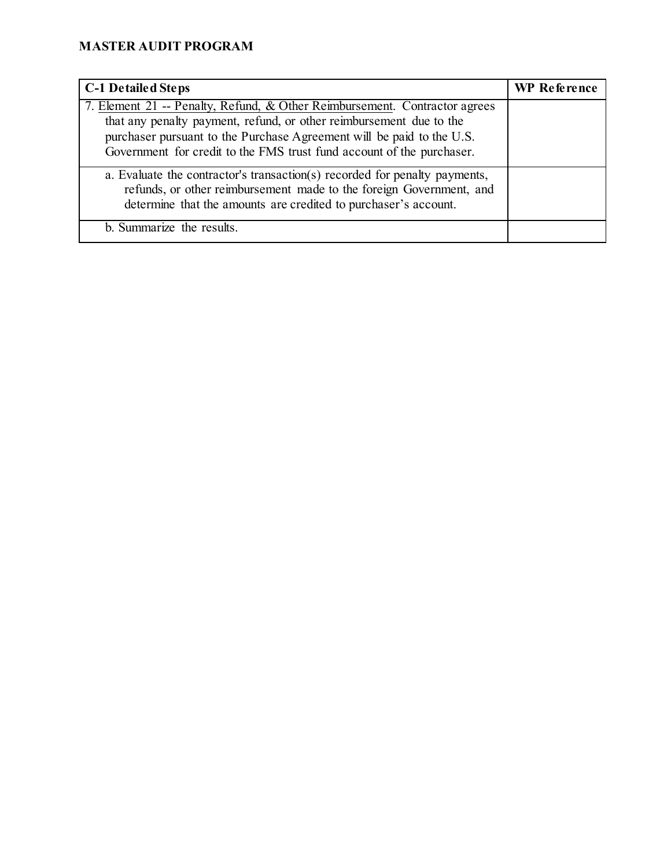| <b>C-1 Detailed Steps</b>                                                                                                                                                                                                                                                                           | <b>WP</b> Reference |
|-----------------------------------------------------------------------------------------------------------------------------------------------------------------------------------------------------------------------------------------------------------------------------------------------------|---------------------|
| 7. Element 21 -- Penalty, Refund, & Other Reimbursement. Contractor agrees<br>that any penalty payment, refund, or other reimbursement due to the<br>purchaser pursuant to the Purchase Agreement will be paid to the U.S.<br>Government for credit to the FMS trust fund account of the purchaser. |                     |
| a. Evaluate the contractor's transaction(s) recorded for penalty payments,<br>refunds, or other reimbursement made to the foreign Government, and<br>determine that the amounts are credited to purchaser's account.                                                                                |                     |
| b. Summarize the results.                                                                                                                                                                                                                                                                           |                     |